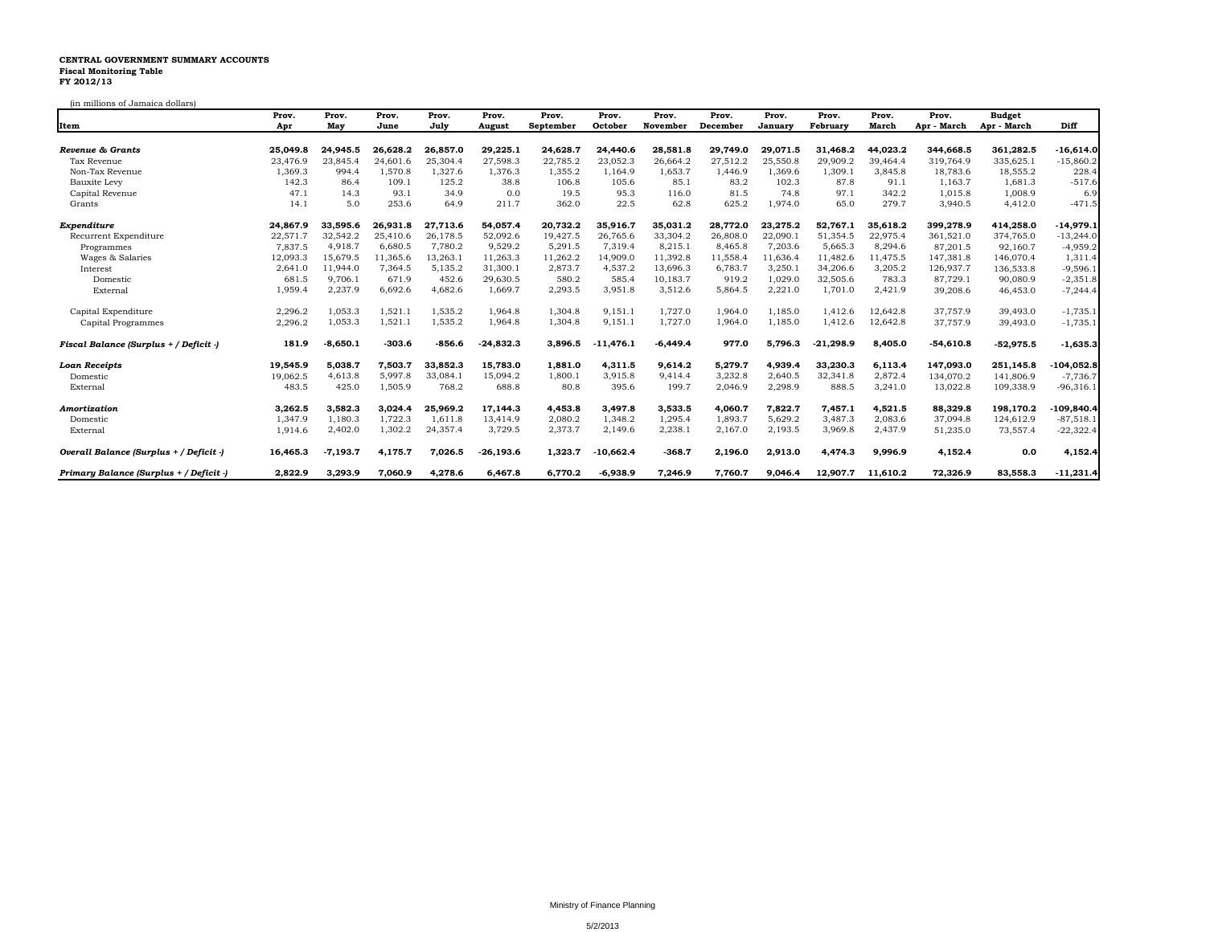## **CENTRAL GOVERNMENT SUMMARY ACCOUNTS Fiscal Monitoring Table FY 2012/13**

(in millions of Jamaica dollars)

|                                         | Prov.    | Prov.      | Prov.    | Prov.    | Prov.       | Prov.         | Prov.       | Prov.      | Prov.    | Prov.    | Prov.       | Prov.    | Prov.       | <b>Budget</b>      |              |
|-----------------------------------------|----------|------------|----------|----------|-------------|---------------|-------------|------------|----------|----------|-------------|----------|-------------|--------------------|--------------|
| Item                                    | Apr      | May        | June     | July     | August      | September     | October     | November   | December | January  | February    | March    | Apr - March | Apr - March        | Diff         |
| Revenue & Grants                        | 25.049.8 | 24.945.5   | 26.628.2 | 26,857.0 | 29,225.1    | 24,628.7      | 24,440.6    | 28,581.8   | 29,749.0 | 29.071.5 | 31.468.2    | 44,023.2 | 344.668.5   | 361,282.5          | -16,614.0    |
| Tax Revenue                             | 23,476.9 | 23,845.4   | 24,601.6 | 25,304.4 | 27,598.3    | 22,785.2      | 23,052.3    | 26,664.2   | 27,512.2 | 25,550.8 | 29,909.2    | 39,464.4 | 319,764.9   | 335,625.1          | $-15,860.2$  |
| Non-Tax Revenue                         | 1,369.3  | 994.4      | 1,570.8  | 1,327.6  | 1,376.3     | 1,355.2       | 1,164.9     | 1,653.7    | 1,446.9  | 1,369.6  | 1,309.1     | 3,845.8  | 18,783.6    | 18,555.2           | 228.4        |
|                                         | 142.3    | 86.4       | 109.1    | 125.2    | 38.8        |               | 105.6       | 85.1       | 83.2     | 102.3    | 87.8        | 91.1     | 1,163.7     |                    | $-517.6$     |
| <b>Bauxite Levy</b>                     | 47.1     | 14.3       | 93.1     | 34.9     | 0.0         | 106.8<br>19.5 | 95.3        | 116.0      | 81.5     | 74.8     | 97.1        | 342.2    | 1,015.8     | 1,681.3<br>1,008.9 | 6.9          |
| Capital Revenue                         | 14.1     | 5.0        | 253.6    | 64.9     | 211.7       | 362.0         | 22.5        | 62.8       |          | 1,974.0  | 65.0        | 279.7    |             |                    |              |
| Grants                                  |          |            |          |          |             |               |             |            | 625.2    |          |             |          | 3,940.5     | 4,412.0            | $-471.5$     |
| Expenditure                             | 24,867.9 | 33.595.6   | 26.931.8 | 27.713.6 | 54.057.4    | 20,732.2      | 35,916.7    | 35.031.2   | 28.772.0 | 23,275.2 | 52,767.1    | 35,618.2 | 399,278.9   | 414,258.0          | $-14,979.1$  |
| Recurrent Expenditure                   | 22,571.7 | 32,542.2   | 25,410.6 | 26,178.5 | 52,092.6    | 19,427.5      | 26,765.6    | 33,304.2   | 26,808.0 | 22,090.1 | 51,354.5    | 22,975.4 | 361,521.0   | 374,765.0          | $-13,244.0$  |
| Programmes                              | 7,837.5  | 4.918.7    | 6,680.5  | 7.780.2  | 9,529.2     | 5,291.5       | 7,319.4     | 8,215.1    | 8,465.8  | 7,203.6  | 5,665.3     | 8,294.6  | 87,201.5    | 92,160.7           | $-4,959.2$   |
| Wages & Salaries                        | 12,093.3 | 15,679.5   | 11,365.6 | 13,263.1 | 11,263.3    | 11,262.2      | 14,909.0    | 11,392.8   | 11,558.4 | 11,636.4 | 11,482.6    | 11,475.5 | 147,381.8   | 146,070.4          | 1,311.4      |
| Interest                                | 2,641.0  | 11,944.0   | 7,364.5  | 5,135.2  | 31,300.1    | 2,873.7       | 4,537.2     | 13,696.3   | 6,783.7  | 3,250.1  | 34,206.6    | 3,205.2  | 126,937.7   | 136,533.8          | $-9,596.1$   |
| Domestic                                | 681.5    | 9,706.1    | 671.9    | 452.6    | 29,630.5    | 580.2         | 585.4       | 10,183.7   | 919.2    | 1,029.0  | 32,505.6    | 783.3    | 87,729.1    | 90,080.9           | $-2,351.8$   |
| External                                | 1,959.4  | 2,237.9    | 6,692.6  | 4,682.6  | 1,669.7     | 2,293.5       | 3,951.8     | 3,512.6    | 5,864.5  | 2,221.0  | 1,701.0     | 2,421.9  | 39,208.6    | 46,453.0           | $-7,244.4$   |
| Capital Expenditure                     | 2,296.2  | 1,053.3    | 1,521.1  | 1,535.2  | 1,964.8     | 1,304.8       | 9,151.1     | 1,727.0    | 1,964.0  | 1,185.0  | 1,412.6     | 12,642.8 | 37,757.9    | 39,493.0           | $-1,735.1$   |
| Capital Programmes                      | 2,296.2  | 1,053.3    | 1,521.1  | 1,535.2  | 1,964.8     | 1,304.8       | 9,151.1     | 1,727.0    | 1,964.0  | 1,185.0  | 1,412.6     | 12,642.8 | 37,757.9    | 39,493.0           | $-1,735.1$   |
| Fiscal Balance (Surplus + / Deficit -)  | 181.9    | $-8,650.1$ | $-303.6$ | $-856.6$ | $-24,832.3$ | 3,896.5       | $-11,476.1$ | $-6,449.4$ | 977.0    | 5.796.3  | $-21,298.9$ | 8,405.0  | $-54,610.8$ | $-52,975.5$        | $-1,635.3$   |
| Loan Receipts                           | 19.545.9 | 5.038.7    | 7,503.7  | 33,852.3 | 15,783.0    | 1,881.0       | 4,311.5     | 9,614.2    | 5,279.7  | 4,939.4  | 33.230.3    | 6.113.4  | 147.093.0   | 251,145.8          | $-104,052.8$ |
| Domestic                                | 19,062.5 | 4,613.8    | 5,997.8  | 33,084.1 | 15,094.2    | 1,800.1       | 3,915.8     | 9,414.4    | 3,232.8  | 2,640.5  | 32,341.8    | 2,872.4  | 134,070.2   | 141,806.9          | $-7,736.7$   |
| External                                | 483.5    | 425.0      | 1,505.9  | 768.2    | 688.8       | 80.8          | 395.6       | 199.7      | 2,046.9  | 2,298.9  | 888.5       | 3,241.0  | 13,022.8    | 109,338.9          | $-96,316.1$  |
| Amortization                            | 3,262.5  | 3,582.3    | 3,024.4  | 25,969.2 | 17,144.3    | 4,453.8       | 3,497.8     | 3,533.5    | 4,060.7  | 7,822.7  | 7,457.1     | 4,521.5  | 88,329.8    | 198,170.2          | -109,840.4   |
| Domestic                                | 1.347.9  | 1,180.3    | 1,722.3  | 1,611.8  | 13,414.9    | 2,080.2       | 1,348.2     | 1,295.4    | 1,893.7  | 5,629.2  | 3,487.3     | 2,083.6  | 37,094.8    | 124,612.9          | $-87,518.1$  |
| External                                | 1,914.6  | 2,402.0    | 1,302.2  | 24,357.4 | 3,729.5     | 2,373.7       | 2,149.6     | 2,238.1    | 2,167.0  | 2,193.5  | 3,969.8     | 2,437.9  | 51,235.0    | 73,557.4           | $-22,322.4$  |
| Overall Balance (Surplus + / Deficit -) | 16,465.3 | $-7,193.7$ | 4,175.7  | 7,026.5  | $-26,193.6$ | 1,323.7       | $-10,662.4$ | $-368.7$   | 2,196.0  | 2,913.0  | 4,474.3     | 9,996.9  | 4,152.4     | 0.0                | 4,152.4      |
| Primary Balance (Surplus + / Deficit -) | 2,822.9  | 3,293.9    | 7,060.9  | 4,278.6  | 6,467.8     | 6,770.2       | $-6,938.9$  | 7,246.9    | 7,760.7  | 9,046.4  | 12,907.7    | 11,610.2 | 72,326.9    | 83,558.3           | $-11,231.4$  |